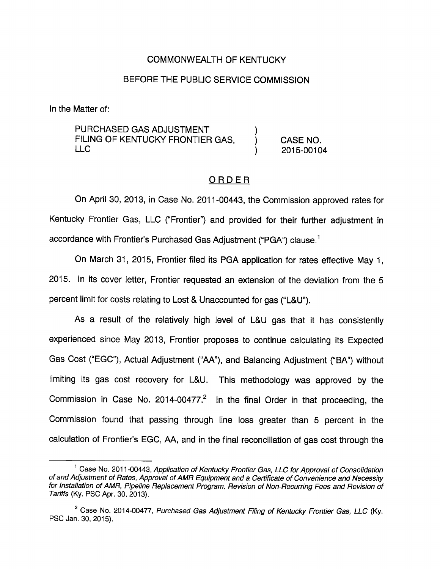## COMMONWEALTH OF KENTUCKY

#### BEFORE THE PUBLIC SERVICE COMMISSION

In the Matter of:

PURCHASED GAS ADJUSTMENT FILING OF KENTUCKY FRONTIER GAS,  $\overrightarrow{)}$  CASE NO.<br>LLC 2015-0010 LLC ) 2015-00104

#### ORDER

On April 30, 2013, in Case No. 2011 -00443, the Commission approved rates for Kentucky Frontier Gas, LLC ("Frontier") and provided for their further adjustment in accordance with Frontier's Purchased Gas Adjustment ("PGA") clause.<sup>1</sup>

On March 31, 2015, Frontier filed its PGA application for rates effective May 1, 2015. In its cover letter. Frontier requested an extension of the deviation from the 5 percent limit for costs relating to Lost & Unaccounted for gas ("L&U").

As a result of the relatively high level of L&U gas that it has consistently experienced since May 2013, Frontier proposes to continue calculating its Expected Gas Cost ("EGC"), Actual Adjustment ("AA"), and Balancing Adjustment ("BA") without limiting its gas cost recovery for L&U. This methodology was approved by the Commission in Case No. 2014-00477. $^2$  in the final Order in that proceeding, the Commission found that passing through line loss greater than 5 percent in the calculation of Frontier's EGC, AA, and in the final reconciliation of gas cost through the

 $<sup>1</sup>$  Case No. 2011-00443, Application of Kentucky Frontier Gas, LLC for Approval of Consolidation</sup> of and Adjustment of Rates, Approval of AMR Equipment and a Certificate of Convenience and Necessity for Installation of AMR, Pipeline Replacement Program, Revision of Non-Recurring Fees and Revision of Tariffs (Ky. PSO Apr. 30, 2013).

 $2^2$  Case No. 2014-00477, Purchased Gas Adjustment Filing of Kentucky Frontier Gas, LLC (Ky. PSC Jan. 30, 2015).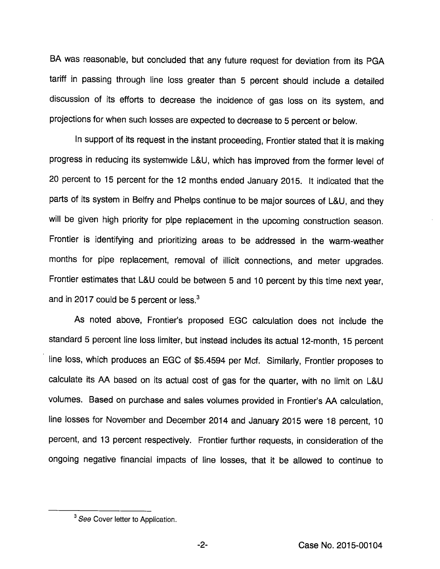BA was reasonable, but concluded that any future request for deviation from its PGA tariff in passing through line loss greater than 5 percent should include a detailed discussion of its efforts to decrease the incidence of gas loss on its system, and projections for when such losses are expected to decrease to 5 percent or below.

In support of its request in the instant proceeding, Frontier stated that it is making progress in reducing its systemwide L&U, which has improved from the former level of 20 percent to 15 percent for the 12 months ended January 2015. It indicated that the parts of its system in Belfry and Phelps continue to be major sources of L&U, and they will be given high priority for pipe replacement in the upcoming construction season. Frontier is identifying and prioritizing areas to be addressed in the warm-weather months for pipe replacement, removal of illicit connections, and meter upgrades. Frontier estimates that L&U could be between 5 and 10 percent by this time next year, and in 2017 could be 5 percent or less. $3$ 

As noted above. Frontier's proposed EGG calculation does not include the standard 5 percent line loss limiter, but instead includes its actual 12-month, 15 percent line loss, which produces an EGG of \$5.4594 per Mcf. Similarly, Frontier proposes to calculate its AA based on its actual cost of gas for the quarter, with no limit on L&U volumes. Based on purchase and sales volumes provided in Frontier's AA calculation, line losses for November and December 2014 and January 2015 were 18 percent, 10 percent, and 13 percent respectively. Frontier further requests, in consideration of the ongoing negative financial impacts of line losses, that it be allowed to continue to

 $-2-$ 

 $3$  See Cover letter to Application.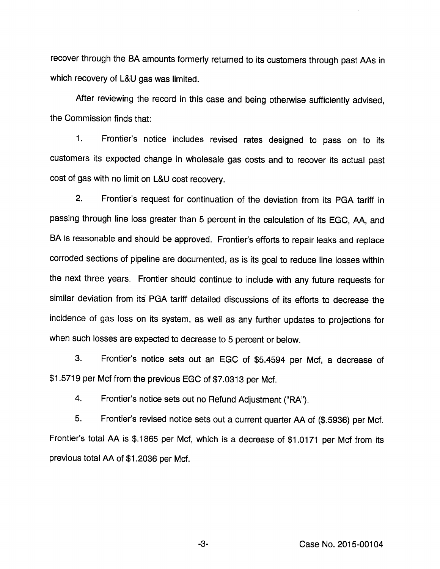recover through the BA amounts formerly returned to its customers through past AAs in which recovery of L&U gas was limited.

After reviewing the record in this case and being otherwise sufficiently advised, the Commission finds that:

1. Frontier's notice includes revised rates designed to pass on to its customers its expected change in wholesale gas costs and to recover its actual past cost of gas with no limit on L&U cost recovery.

2. Frontier's request for continuation of the deviation from its PGA tariff in passing through line loss greater than 5 percent in the calculation of its EGG, AA, and BA is reasonable and should be approved. Frontier's efforts to repair leaks and replace corroded sections of pipeline are documented, as is its goal to reduce line losses within the next three years. Frontier should continue to include with any future requests for similar deviation from its PGA tariff detailed discussions of its efforts to decrease the incidence of gas loss on its system, as well as any further updates to projections for when such losses are expected to decrease to 5 percent or below.

3. Frontier's notice sets out an EGG of \$5.4594 per Mcf, a decrease of \$1.5719 per Mcf from the previous EGC of \$7.0313 per Mcf.

4. Frontier's notice sets out no Refund Adjustment ("RA").

5. Frontier's revised notice sets out a current quarter AA of (\$.5936) per Mcf. Frontier's total AA is \$.1865 per Mcf, which is a decrease of \$1.0171 per Mcf from its previous total AA of \$1.2036 per Mcf.

Gase No. 2015-00104

-3-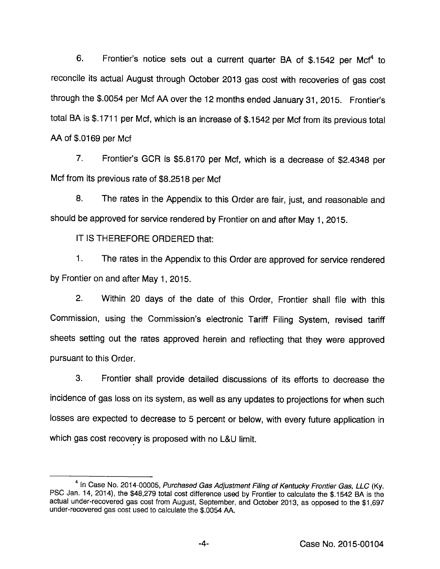6. Frontier's notice sets out a current quarter BA of \$.1542 per Mcf\* to reconcile its actual August through October 2013 gas cost with recoveries of gas cost through the \$.0054 per Mcf AA over the 12 months ended January31, 2015. Frontier's total BA is \$.1711 per Mcf, which is an increase of \$.1542 per Mcf from its previous total AA of \$.0169 per Mcf

7. Frontier's GCR is \$5.8170 per Mcf, which is a decrease of \$2.4348 per Mcf from its previous rate of \$8.2518 per Mcf

8. The rates in the Appendix to this Order are fair, just, and reasonable and should be approved for service rendered by Frontier on and after May 1, 2015.

IT IS THEREFORE ORDERED that:

1. The rates in the Appendix to this Order are approved for service rendered by Frontier on and after May 1, 2015.

2. Within 20 days of the date of this Order, Frontier shall file with this Commission, using the Commission's electronic Tariff Filing System, revised tariff sheets setting out the rates approved herein and reflecting that they were approved pursuant to this Order.

3. Frontier shall provide detailed discussions of its efforts to decrease the incidence of gas loss on its system, as well as any updates to projections for when such losses are expected to decrease to 5 percent or below, with every future application in which gas cost recovery is proposed with no L&U limit.

 $4$  In Case No. 2014-00005, Purchased Gas Adjustment Filing of Kentucky Frontier Gas, LLC (Ky. PSC Jan. 14, 2014), the \$48,279 total cost difference used by Frontier to calculate the \$.1542 BA is the actual under-recovered gas cost from August, September, and October 2013, as opposed to the \$1,697 under-recovered gas cost used to calculate the \$.0054 AA.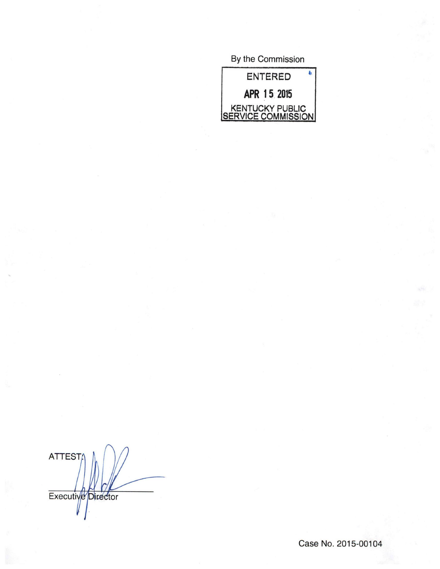By the Commission



ATTEST Executive Director

Case No. 2015-00104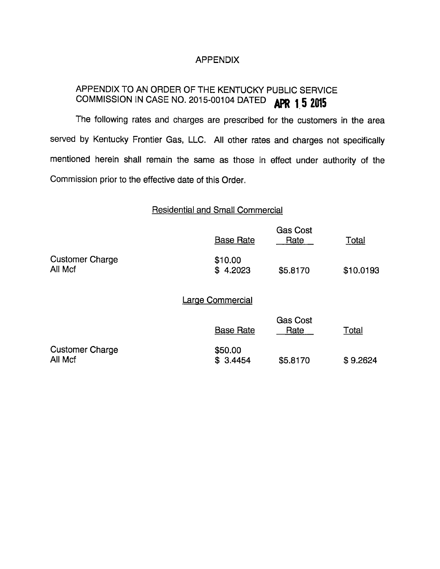## APPENDIX

# APPENDIX TO AN ORDER OF THE KENTUCKY PUBLIC SERVICE COMMISSION IN CASE NO. 2015-00104 DATED **APR 1.5 2015**

The following rates and charges are prescribed for the customers in the area served by Kentucky Frontier Gas, LLC. All other rates and charges not specifically mentioned herein shall remain the same as those in effect under authority of the Commission prior to the effective date of this Order.

### Residential and Small Commercial

|                                   | <b>Base Rate</b>        | <b>Gas Cost</b><br>Rate | <b>Total</b> |
|-----------------------------------|-------------------------|-------------------------|--------------|
| <b>Customer Charge</b><br>All Mcf | \$10.00<br>\$4.2023     | \$5.8170                | \$10.0193    |
|                                   | <b>Large Commercial</b> |                         |              |
|                                   | <b>Base Rate</b>        | <b>Gas Cost</b><br>Rate | <b>Total</b> |
| <b>Customer Charge</b><br>All Mcf | \$50.00<br>\$3.4454     | \$5.8170                | \$9.2624     |